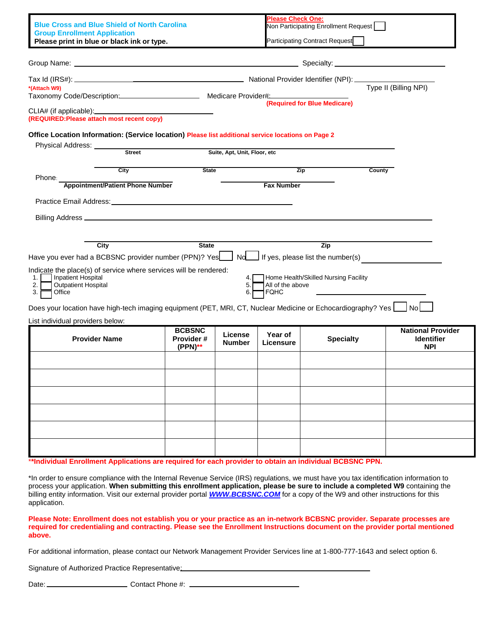| <b>Blue Cross and Blue Shield of North Carolina</b><br><b>Group Enrollment Application</b><br>Please print in blue or black ink or type.                                                                                                            |               |                                         |                              | <b>Please Check One:</b>                              | Non Participating Enrollment Request<br>Participating Contract Request |                                                             |
|-----------------------------------------------------------------------------------------------------------------------------------------------------------------------------------------------------------------------------------------------------|---------------|-----------------------------------------|------------------------------|-------------------------------------------------------|------------------------------------------------------------------------|-------------------------------------------------------------|
|                                                                                                                                                                                                                                                     |               |                                         |                              |                                                       |                                                                        |                                                             |
| *(Attach W9)<br>Taxonomy Code/Description: Medicare Provider# Medicare Provider Management Code/Description:                                                                                                                                        |               |                                         |                              | Type II (Billing NPI)<br>(Required for Blue Medicare) |                                                                        |                                                             |
| CLIA# (if applicable): CLIA# (if applicable):<br>(REQUIRED: Please attach most recent copy)                                                                                                                                                         |               |                                         |                              |                                                       |                                                                        |                                                             |
| Office Location Information: (Service location) Please list additional service locations on Page 2<br>Physical Address: _______                                                                                                                     | <b>Street</b> |                                         | Suite, Apt, Unit, Floor, etc |                                                       |                                                                        |                                                             |
|                                                                                                                                                                                                                                                     | City          | <b>State</b>                            |                              |                                                       | <b>Zip</b>                                                             | County                                                      |
| Phone:<br><b>Appointment/Patient Phone Number</b>                                                                                                                                                                                                   |               |                                         |                              | <b>Fax Number</b>                                     |                                                                        |                                                             |
| Practice Email Address: Universe Practice Email Address:                                                                                                                                                                                            |               |                                         |                              |                                                       |                                                                        |                                                             |
|                                                                                                                                                                                                                                                     |               |                                         |                              |                                                       |                                                                        |                                                             |
| Have you ever had a BCBSNC provider number (PPN)? Yes<br>Nd If yes, please list the number(s)<br>Indicate the place(s) of service where services will be rendered:<br>Inpatient Hospital<br>1.<br><b>Outpatient Hospital</b><br>2.<br>3.1<br>Office |               |                                         | 4.<br>5.<br>6.               | All of the above<br><b>FQHC</b>                       | Home Health/Skilled Nursing Facility                                   |                                                             |
| Does your location have high-tech imaging equipment (PET, MRI, CT, Nuclear Medicine or Echocardiography? Yes $\bigsqcup$ No                                                                                                                         |               |                                         |                              |                                                       |                                                                        |                                                             |
| List individual providers below:<br><b>Provider Name</b>                                                                                                                                                                                            |               | <b>BCBSNC</b><br>Provider#<br>$(PPN)**$ | License<br><b>Number</b>     | Year of<br>Licensure                                  | <b>Specialty</b>                                                       | <b>National Provider</b><br><b>Identifier</b><br><b>NPI</b> |
|                                                                                                                                                                                                                                                     |               |                                         |                              |                                                       |                                                                        |                                                             |
|                                                                                                                                                                                                                                                     |               |                                         |                              |                                                       |                                                                        |                                                             |
|                                                                                                                                                                                                                                                     |               |                                         |                              |                                                       |                                                                        |                                                             |
|                                                                                                                                                                                                                                                     |               |                                         |                              |                                                       |                                                                        |                                                             |
|                                                                                                                                                                                                                                                     |               |                                         |                              |                                                       |                                                                        |                                                             |
|                                                                                                                                                                                                                                                     |               |                                         |                              |                                                       |                                                                        |                                                             |
|                                                                                                                                                                                                                                                     |               |                                         |                              |                                                       |                                                                        |                                                             |

\*In order to ensure compliance with the Internal Revenue Service (IRS) regulations, we must have you tax identification information to process your application. **When submitting this enrollment application, please be sure to include a completed W9** containing the billing entity information. Visit our external provider portal *[WWW.BCBSNC.COM](http://www.bcbsnc.com/)* for a copy of the W9 and other instructions for this application.

**Please Note: Enrollment does not establish you or your practice as an in-network BCBSNC provider. Separate processes are required for credentialing and contracting. Please see the Enrollment Instructions document on the provider portal mentioned above.** 

For additional information, please contact our Network Management Provider Services line at 1-800-777-1643 and select option 6.

Signature of Authorized Practice Representative:

Date: Contact Phone #: